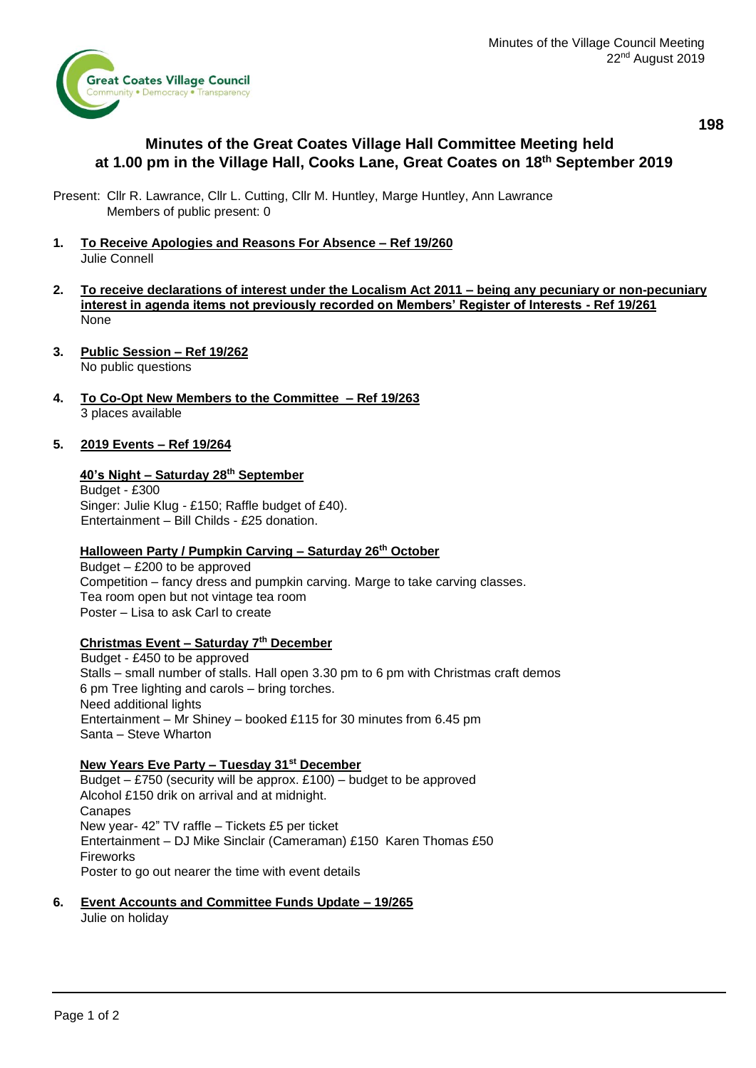**198**



# **Minutes of the Great Coates Village Hall Committee Meeting held at 1.00 pm in the Village Hall, Cooks Lane, Great Coates on 18th September 2019**

Present: Cllr R. Lawrance, Cllr L. Cutting, Cllr M. Huntley, Marge Huntley, Ann Lawrance Members of public present: 0

- **1. To Receive Apologies and Reasons For Absence – Ref 19/260** Julie Connell
- **2. To receive declarations of interest under the Localism Act 2011 – being any pecuniary or non-pecuniary interest in agenda items not previously recorded on Members' Register of Interests - Ref 19/261** None
- **3. Public Session – Ref 19/262** No public questions
- **4. To Co-Opt New Members to the Committee – Ref 19/263** 3 places available

### **5. 2019 Events – Ref 19/264**

#### **40's Night – Saturday 28th September**

Budget - £300 Singer: Julie Klug - £150; Raffle budget of £40). Entertainment – Bill Childs - £25 donation.

#### **Halloween Party / Pumpkin Carving – Saturday 26th October**

Budget – £200 to be approved Competition – fancy dress and pumpkin carving. Marge to take carving classes. Tea room open but not vintage tea room Poster – Lisa to ask Carl to create

## **Christmas Event – Saturday 7th December**

Budget - £450 to be approved Stalls – small number of stalls. Hall open 3.30 pm to 6 pm with Christmas craft demos 6 pm Tree lighting and carols – bring torches. Need additional lights Entertainment – Mr Shiney – booked £115 for 30 minutes from 6.45 pm Santa – Steve Wharton

#### **New Years Eve Party – Tuesday 31st December**

Budget – £750 (security will be approx. £100) – budget to be approved Alcohol £150 drik on arrival and at midnight. **Canapes** New year- 42" TV raffle – Tickets £5 per ticket Entertainment – DJ Mike Sinclair (Cameraman) £150 Karen Thomas £50 Fireworks Poster to go out nearer the time with event details

## **6. Event Accounts and Committee Funds Update – 19/265**

Julie on holiday